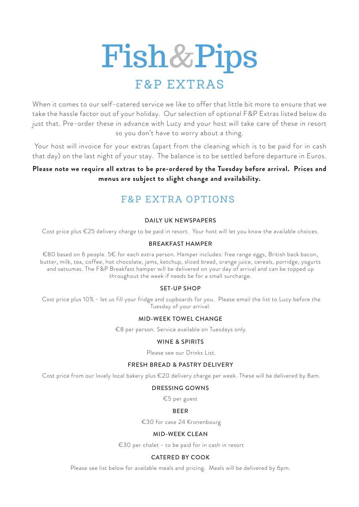

When it comes to our self-catered service we like to offer that little bit more to ensure that we take the hassle factor out of your holiday. Our selection of optional F&P Extras listed below do just that. Pre-order these in advance with Lucy and your host will take care of these in resort so you don't have to worry about a thing.

 Your host will invoice for your extras (apart from the cleaning which is to be paid for in cash that day) on the last night of your stay. The balance is to be settled before departure in Euros.

# **Please note we require all extras to be pre-ordered by the Tuesday before arrival. Prices and menus are subject to slight change and availability.**

# F&P EXTRA OPTIONS

#### DAILY UK NEWSPAPERS

Cost price plus €25 delivery charge to be paid in resort. Your host will let you know the available choices.

#### BREAKFAST HAMPER

€80 based on 6 people. 5€ for each extra person. Hamper includes: free range eggs, British back bacon, butter, milk, tea, coffee, hot chocolate, jams, ketchup, sliced bread, orange juice, cereals, porridge, yogurts and satsumas. The F&P Breakfast hamper will be delivered on your day of arrival and can be topped up throughout the week if needs be for a small surcharge.

#### SET-UP SHOP

 Cost price plus 10% - let us fill your fridge and cupboards for you. Please email the list to Lucy before the Tuesday of your arrival.

#### MID-WEEK TOWEL CHANGE

€8 per person. Service available on Tuesdays only.

#### WINE & SPIRITS

Please see our Drinks List.

#### FRESH BREAD & PASTRY DELIVERY

Cost price from our lovely local bakery plus €20 delivery charge per week. These will be delivered by 8am.

#### DRESSING GOWNS

€5 per guest

#### BEER

€30 for case 24 Kronenbourg

#### MID-WEEK CLEAN

€30 per chalet - to be paid for in cash in resort

#### CATERED BY COOK

Please see list below for available meals and pricing. Meals will be delivered by 6pm.